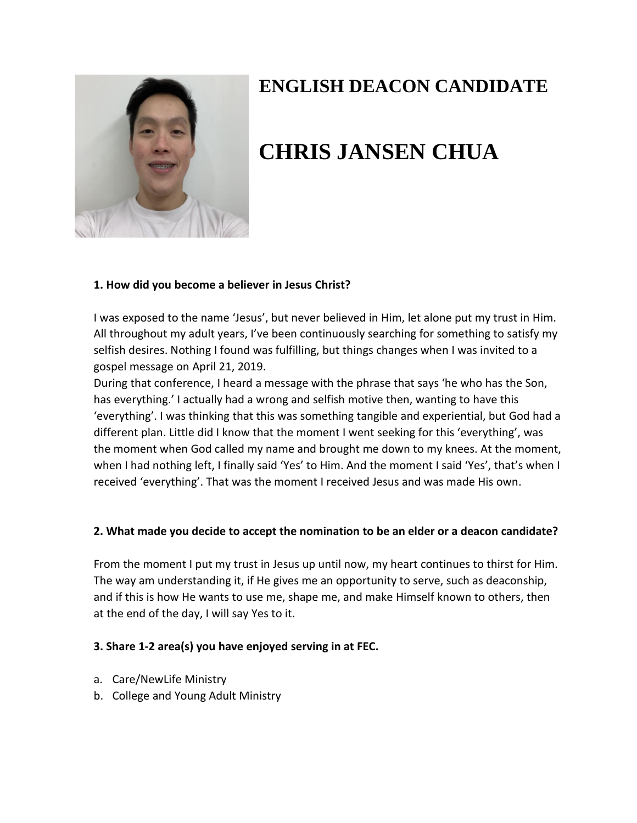

# **ENGLISH DEACON CANDIDATE**

# **CHRIS JANSEN CHUA**

### **1. How did you become a believer in Jesus Christ?**

I was exposed to the name 'Jesus', but never believed in Him, let alone put my trust in Him. All throughout my adult years, I've been continuously searching for something to satisfy my selfish desires. Nothing I found was fulfilling, but things changes when I was invited to a gospel message on April 21, 2019.

During that conference, I heard a message with the phrase that says 'he who has the Son, has everything.' I actually had a wrong and selfish motive then, wanting to have this 'everything'. I was thinking that this was something tangible and experiential, but God had a different plan. Little did I know that the moment I went seeking for this 'everything', was the moment when God called my name and brought me down to my knees. At the moment, when I had nothing left, I finally said 'Yes' to Him. And the moment I said 'Yes', that's when I received 'everything'. That was the moment I received Jesus and was made His own.

# **2. What made you decide to accept the nomination to be an elder or a deacon candidate?**

From the moment I put my trust in Jesus up until now, my heart continues to thirst for Him. The way am understanding it, if He gives me an opportunity to serve, such as deaconship, and if this is how He wants to use me, shape me, and make Himself known to others, then at the end of the day, I will say Yes to it.

# **3. Share 1-2 area(s) you have enjoyed serving in at FEC.**

- a. Care/NewLife Ministry
- b. College and Young Adult Ministry